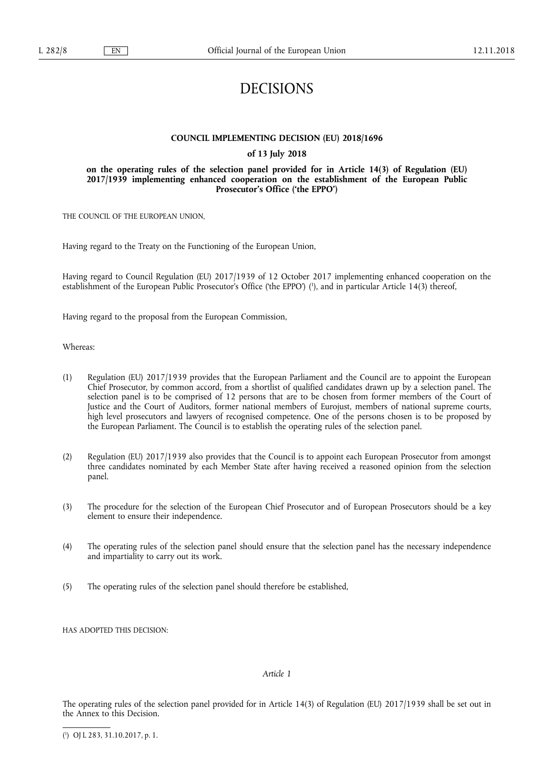# DECISIONS

# **COUNCIL IMPLEMENTING DECISION (EU) 2018/1696**

# **of 13 July 2018**

# **on the operating rules of the selection panel provided for in Article 14(3) of Regulation (EU) 2017/1939 implementing enhanced cooperation on the establishment of the European Public Prosecutor's Office ('the EPPO')**

THE COUNCIL OF THE EUROPEAN UNION,

Having regard to the Treaty on the Functioning of the European Union,

Having regard to Council Regulation (EU) 2017/1939 of 12 October 2017 implementing enhanced cooperation on the establishment of the European Public Prosecutor's Office ('the EPPO') ( 1 ), and in particular Article 14(3) thereof,

Having regard to the proposal from the European Commission,

Whereas:

- (1) Regulation (EU) 2017/1939 provides that the European Parliament and the Council are to appoint the European Chief Prosecutor, by common accord, from a shortlist of qualified candidates drawn up by a selection panel. The selection panel is to be comprised of 12 persons that are to be chosen from former members of the Court of Justice and the Court of Auditors, former national members of Eurojust, members of national supreme courts, high level prosecutors and lawyers of recognised competence. One of the persons chosen is to be proposed by the European Parliament. The Council is to establish the operating rules of the selection panel.
- (2) Regulation (EU) 2017/1939 also provides that the Council is to appoint each European Prosecutor from amongst three candidates nominated by each Member State after having received a reasoned opinion from the selection panel.
- (3) The procedure for the selection of the European Chief Prosecutor and of European Prosecutors should be a key element to ensure their independence.
- (4) The operating rules of the selection panel should ensure that the selection panel has the necessary independence and impartiality to carry out its work.
- (5) The operating rules of the selection panel should therefore be established,

HAS ADOPTED THIS DECISION:

## *Article 1*

The operating rules of the selection panel provided for in Article 14(3) of Regulation (EU) 2017/1939 shall be set out in the Annex to this Decision.

( 1 ) OJ L 283, 31.10.2017, p. 1.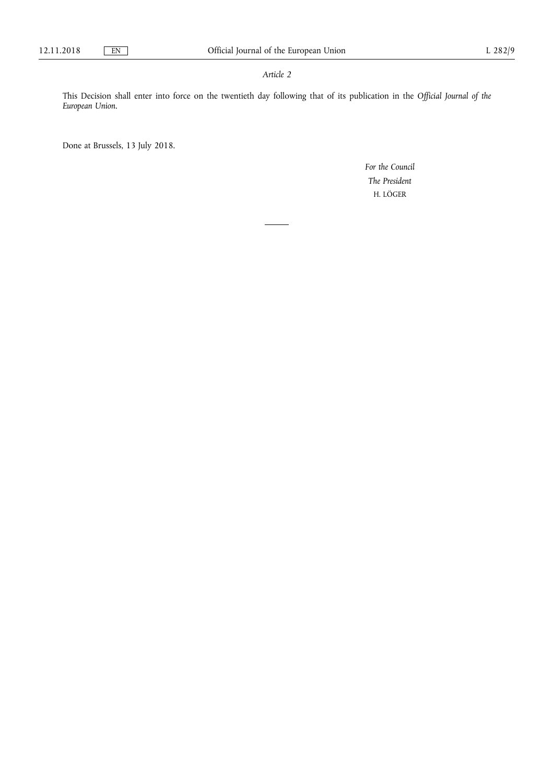# *Article 2*

This Decision shall enter into force on the twentieth day following that of its publication in the *Official Journal of the European Union*.

Done at Brussels, 13 July 2018.

*For the Council The President*  H. LÖGER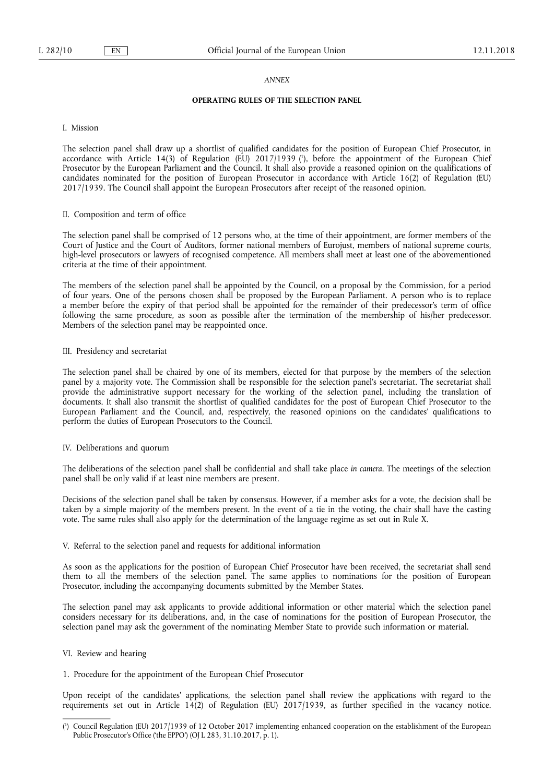#### *ANNEX*

# **OPERATING RULES OF THE SELECTION PANEL**

I. Mission

The selection panel shall draw up a shortlist of qualified candidates for the position of European Chief Prosecutor, in accordance with Article 14(3) of Regulation (EU) 2017/1939 ( 1 ), before the appointment of the European Chief Prosecutor by the European Parliament and the Council. It shall also provide a reasoned opinion on the qualifications of candidates nominated for the position of European Prosecutor in accordance with Article 16(2) of Regulation (EU) 2017/1939. The Council shall appoint the European Prosecutors after receipt of the reasoned opinion.

#### II. Composition and term of office

The selection panel shall be comprised of 12 persons who, at the time of their appointment, are former members of the Court of Justice and the Court of Auditors, former national members of Eurojust, members of national supreme courts, high-level prosecutors or lawyers of recognised competence. All members shall meet at least one of the abovementioned criteria at the time of their appointment.

The members of the selection panel shall be appointed by the Council, on a proposal by the Commission, for a period of four years. One of the persons chosen shall be proposed by the European Parliament. A person who is to replace a member before the expiry of that period shall be appointed for the remainder of their predecessor's term of office following the same procedure, as soon as possible after the termination of the membership of his/her predecessor. Members of the selection panel may be reappointed once.

#### III. Presidency and secretariat

The selection panel shall be chaired by one of its members, elected for that purpose by the members of the selection panel by a majority vote. The Commission shall be responsible for the selection panel's secretariat. The secretariat shall provide the administrative support necessary for the working of the selection panel, including the translation of documents. It shall also transmit the shortlist of qualified candidates for the post of European Chief Prosecutor to the European Parliament and the Council, and, respectively, the reasoned opinions on the candidates' qualifications to perform the duties of European Prosecutors to the Council.

#### IV. Deliberations and quorum

The deliberations of the selection panel shall be confidential and shall take place *in camera*. The meetings of the selection panel shall be only valid if at least nine members are present.

Decisions of the selection panel shall be taken by consensus. However, if a member asks for a vote, the decision shall be taken by a simple majority of the members present. In the event of a tie in the voting, the chair shall have the casting vote. The same rules shall also apply for the determination of the language regime as set out in Rule X.

#### V. Referral to the selection panel and requests for additional information

As soon as the applications for the position of European Chief Prosecutor have been received, the secretariat shall send them to all the members of the selection panel. The same applies to nominations for the position of European Prosecutor, including the accompanying documents submitted by the Member States.

The selection panel may ask applicants to provide additional information or other material which the selection panel considers necessary for its deliberations, and, in the case of nominations for the position of European Prosecutor, the selection panel may ask the government of the nominating Member State to provide such information or material.

#### VI. Review and hearing

1. Procedure for the appointment of the European Chief Prosecutor

Upon receipt of the candidates' applications, the selection panel shall review the applications with regard to the requirements set out in Article 14(2) of Regulation (EU) 2017/1939, as further specified in the vacancy notice.

<sup>(</sup> 1 ) Council Regulation (EU) 2017/1939 of 12 October 2017 implementing enhanced cooperation on the establishment of the European Public Prosecutor's Office ('the EPPO') (OJ L 283, 31.10.2017, p. 1).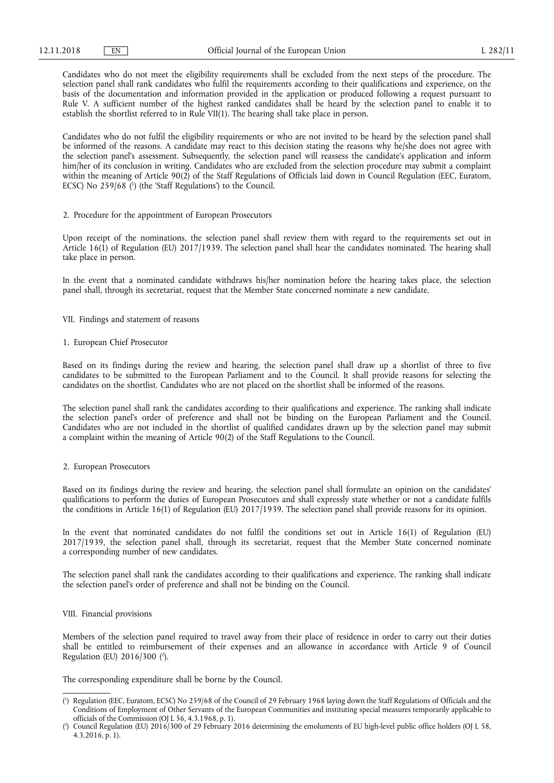Candidates who do not meet the eligibility requirements shall be excluded from the next steps of the procedure. The selection panel shall rank candidates who fulfil the requirements according to their qualifications and experience, on the basis of the documentation and information provided in the application or produced following a request pursuant to Rule V. A sufficient number of the highest ranked candidates shall be heard by the selection panel to enable it to establish the shortlist referred to in Rule VII(1). The hearing shall take place in person.

Candidates who do not fulfil the eligibility requirements or who are not invited to be heard by the selection panel shall be informed of the reasons. A candidate may react to this decision stating the reasons why he/she does not agree with the selection panel's assessment. Subsequently, the selection panel will reassess the candidate's application and inform him/her of its conclusion in writing. Candidates who are excluded from the selection procedure may submit a complaint within the meaning of Article 90(2) of the Staff Regulations of Officials laid down in Council Regulation (EEC, Euratom, ECSC) No 259/68 (<sup>1</sup>) (the 'Staff Regulations') to the Council.

#### 2. Procedure for the appointment of European Prosecutors

Upon receipt of the nominations, the selection panel shall review them with regard to the requirements set out in Article 16(1) of Regulation (EU) 2017/1939. The selection panel shall hear the candidates nominated. The hearing shall take place in person.

In the event that a nominated candidate withdraws his/her nomination before the hearing takes place, the selection panel shall, through its secretariat, request that the Member State concerned nominate a new candidate.

VII. Findings and statement of reasons

#### 1. European Chief Prosecutor

Based on its findings during the review and hearing, the selection panel shall draw up a shortlist of three to five candidates to be submitted to the European Parliament and to the Council. It shall provide reasons for selecting the candidates on the shortlist. Candidates who are not placed on the shortlist shall be informed of the reasons.

The selection panel shall rank the candidates according to their qualifications and experience. The ranking shall indicate the selection panel's order of preference and shall not be binding on the European Parliament and the Council. Candidates who are not included in the shortlist of qualified candidates drawn up by the selection panel may submit a complaint within the meaning of Article 90(2) of the Staff Regulations to the Council.

#### 2. European Prosecutors

Based on its findings during the review and hearing, the selection panel shall formulate an opinion on the candidates' qualifications to perform the duties of European Prosecutors and shall expressly state whether or not a candidate fulfils the conditions in Article 16(1) of Regulation (EU) 2017/1939. The selection panel shall provide reasons for its opinion.

In the event that nominated candidates do not fulfil the conditions set out in Article 16(1) of Regulation (EU) 2017/1939, the selection panel shall, through its secretariat, request that the Member State concerned nominate a corresponding number of new candidates.

The selection panel shall rank the candidates according to their qualifications and experience. The ranking shall indicate the selection panel's order of preference and shall not be binding on the Council.

#### VIII. Financial provisions

Members of the selection panel required to travel away from their place of residence in order to carry out their duties shall be entitled to reimbursement of their expenses and an allowance in accordance with Article 9 of Council Regulation (EU) 2016/300 ( 2 ).

The corresponding expenditure shall be borne by the Council.

<sup>(</sup> 1 ) Regulation (EEC, Euratom, ECSC) No 259/68 of the Council of 29 February 1968 laying down the Staff Regulations of Officials and the Conditions of Employment of Other Servants of the European Communities and instituting special measures temporarily applicable to officials of the Commission (OJ L 56, 4.3.1968, p. 1).

<sup>(</sup> 2 ) Council Regulation (EU) 2016/300 of 29 February 2016 determining the emoluments of EU high-level public office holders (OJ L 58, 4.3.2016, p. 1).